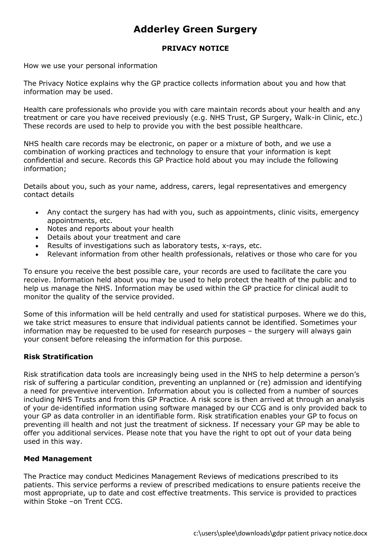# Adderley Green Surgery

#### PRIVACY NOTICE

How we use your personal information

The Privacy Notice explains why the GP practice collects information about you and how that information may be used.

Health care professionals who provide you with care maintain records about your health and any treatment or care you have received previously (e.g. NHS Trust, GP Surgery, Walk-in Clinic, etc.) These records are used to help to provide you with the best possible healthcare.

NHS health care records may be electronic, on paper or a mixture of both, and we use a combination of working practices and technology to ensure that your information is kept confidential and secure. Records this GP Practice hold about you may include the following information;

Details about you, such as your name, address, carers, legal representatives and emergency contact details

- Any contact the surgery has had with you, such as appointments, clinic visits, emergency appointments, etc.
- Notes and reports about your health
- Details about your treatment and care
- Results of investigations such as laboratory tests, x-rays, etc.
- Relevant information from other health professionals, relatives or those who care for you

To ensure you receive the best possible care, your records are used to facilitate the care you receive. Information held about you may be used to help protect the health of the public and to help us manage the NHS. Information may be used within the GP practice for clinical audit to monitor the quality of the service provided.

Some of this information will be held centrally and used for statistical purposes. Where we do this, we take strict measures to ensure that individual patients cannot be identified. Sometimes your information may be requested to be used for research purposes – the surgery will always gain your consent before releasing the information for this purpose.

#### Risk Stratification

Risk stratification data tools are increasingly being used in the NHS to help determine a person's risk of suffering a particular condition, preventing an unplanned or (re) admission and identifying a need for preventive intervention. Information about you is collected from a number of sources including NHS Trusts and from this GP Practice. A risk score is then arrived at through an analysis of your de-identified information using software managed by our CCG and is only provided back to your GP as data controller in an identifiable form. Risk stratification enables your GP to focus on preventing ill health and not just the treatment of sickness. If necessary your GP may be able to offer you additional services. Please note that you have the right to opt out of your data being used in this way.

#### Med Management

The Practice may conduct Medicines Management Reviews of medications prescribed to its patients. This service performs a review of prescribed medications to ensure patients receive the most appropriate, up to date and cost effective treatments. This service is provided to practices within Stoke –on Trent CCG.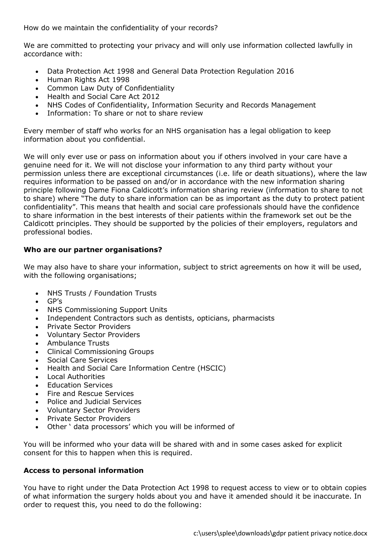How do we maintain the confidentiality of your records?

We are committed to protecting your privacy and will only use information collected lawfully in accordance with:

- Data Protection Act 1998 and General Data Protection Regulation 2016
- Human Rights Act 1998
- Common Law Duty of Confidentiality
- Health and Social Care Act 2012
- NHS Codes of Confidentiality, Information Security and Records Management
- Information: To share or not to share review

Every member of staff who works for an NHS organisation has a legal obligation to keep information about you confidential.

We will only ever use or pass on information about you if others involved in your care have a genuine need for it. We will not disclose your information to any third party without your permission unless there are exceptional circumstances (i.e. life or death situations), where the law requires information to be passed on and/or in accordance with the new information sharing principle following Dame Fiona Caldicott's information sharing review (information to share to not to share) where "The duty to share information can be as important as the duty to protect patient confidentiality". This means that health and social care professionals should have the confidence to share information in the best interests of their patients within the framework set out be the Caldicott principles. They should be supported by the policies of their employers, regulators and professional bodies.

# Who are our partner organisations?

We may also have to share your information, subject to strict agreements on how it will be used, with the following organisations;

- NHS Trusts / Foundation Trusts
- GP's
- NHS Commissioning Support Units
- Independent Contractors such as dentists, opticians, pharmacists
- Private Sector Providers
- Voluntary Sector Providers
- Ambulance Trusts
- Clinical Commissioning Groups
- Social Care Services
- Health and Social Care Information Centre (HSCIC)
- Local Authorities
- Education Services
- Fire and Rescue Services
- Police and Judicial Services
- Voluntary Sector Providers
- Private Sector Providers
- Other ' data processors' which you will be informed of

You will be informed who your data will be shared with and in some cases asked for explicit consent for this to happen when this is required.

# Access to personal information

You have to right under the Data Protection Act 1998 to request access to view or to obtain copies of what information the surgery holds about you and have it amended should it be inaccurate. In order to request this, you need to do the following: